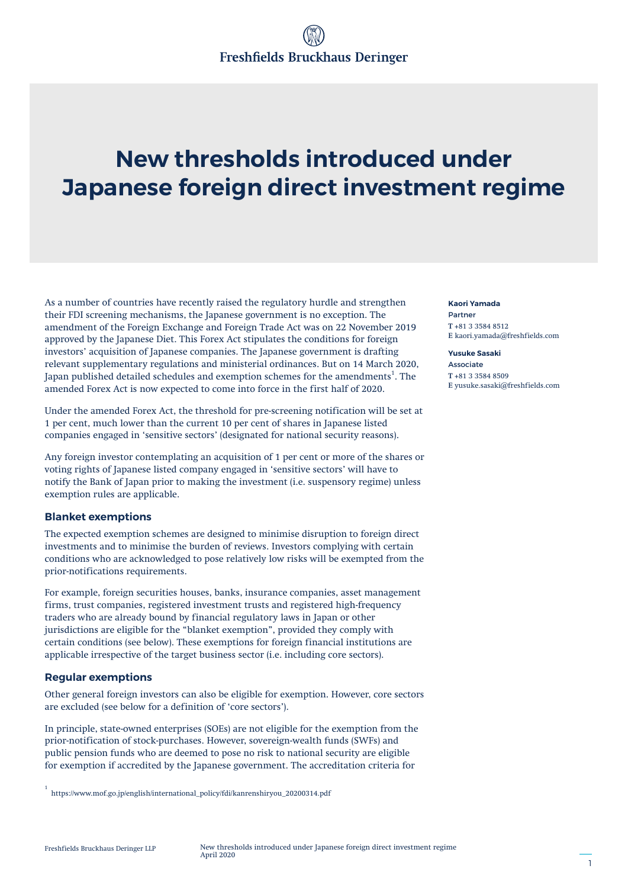# **New thresholds introduced under Japanese foreign direct investment regime**

As a number of countries have recently raised the regulatory hurdle and strengthen their FDI screening mechanisms, the Japanese government is no exception. The amendment of the Foreign Exchange and Foreign Trade Act was on 22 November 2019 approved by the Japanese Diet. This Forex Act stipulates the conditions for foreign investors' acquisition of Japanese companies. The Japanese government is drafting relevant supplementary regulations and ministerial ordinances. But on 14 March 2020, Japan published detailed schedules and exemption schemes for the amendments $^{\rm 1}$ . The amended Forex Act is now expected to come into force in the first half of 2020.

Under the amended Forex Act, the threshold for pre-screening notification will be set at 1 per cent, much lower than the current 10 per cent of shares in Japanese listed companies engaged in 'sensitive sectors' (designated for national security reasons).

Any foreign investor contemplating an acquisition of 1 per cent or more of the shares or voting rights of Japanese listed company engaged in 'sensitive sectors' will have to notify the Bank of Japan prior to making the investment (i.e. suspensory regime) unless exemption rules are applicable.

### **Blanket exemptions**

The expected exemption schemes are designed to minimise disruption to foreign direct investments and to minimise the burden of reviews. Investors complying with certain conditions who are acknowledged to pose relatively low risks will be exempted from the prior-notifications requirements.

For example, foreign securities houses, banks, insurance companies, asset management firms, trust companies, registered investment trusts and registered high-frequency traders who are already bound by financial regulatory laws in Japan or other jurisdictions are eligible for the "blanket exemption", provided they comply with certain conditions (see below). These exemptions for foreign financial institutions are applicable irrespective of the target business sector (i.e. including core sectors).

#### **Regular exemptions**

Other general foreign investors can also be eligible for exemption. However, core sectors are excluded (see below for a definition of 'core sectors').

In principle, state-owned enterprises (SOEs) are not eligible for the exemption from the prior-notification of stock-purchases. However, sovereign-wealth funds (SWFs) and public pension funds who are deemed to pose no risk to national security are eligible for exemption if accredited by the Japanese government. The accreditation criteria for

#### **Kaori Yamada** Partner **T** +81 3 3584 8512 **E** kaori.yamada@freshfields.com

**Yusuke Sasaki** Associate **T** +81 3 3584 8509 **E** yusuke.sasaki@freshfields.com

<sup>1</sup> https://www.mof.go.jp/english/international\_policy/fdi/kanrenshiryou\_20200314.pdf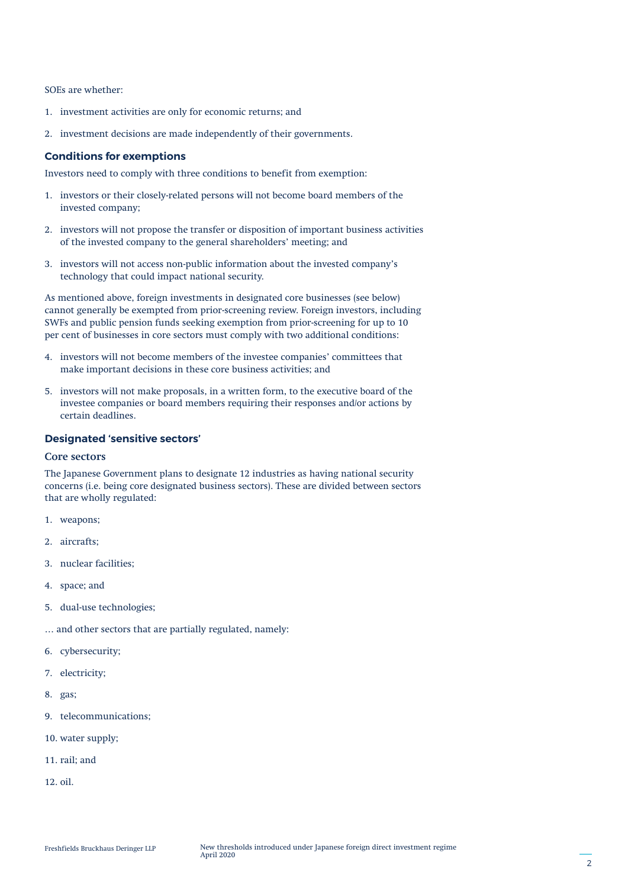SOEs are whether:

- 1. investment activities are only for economic returns; and
- 2. investment decisions are made independently of their governments.

#### **Conditions for exemptions**

Investors need to comply with three conditions to benefit from exemption:

- 1. investors or their closely-related persons will not become board members of the invested company;
- 2. investors will not propose the transfer or disposition of important business activities of the invested company to the general shareholders' meeting; and
- 3. investors will not access non-public information about the invested company's technology that could impact national security.

As mentioned above, foreign investments in designated core businesses (see below) cannot generally be exempted from prior-screening review. Foreign investors, including SWFs and public pension funds seeking exemption from prior-screening for up to 10 per cent of businesses in core sectors must comply with two additional conditions:

- 4. investors will not become members of the investee companies' committees that make important decisions in these core business activities; and
- 5. investors will not make proposals, in a written form, to the executive board of the investee companies or board members requiring their responses and/or actions by certain deadlines.

#### **Designated 'sensitive sectors'**

#### **Core sectors**

The Japanese Government plans to designate 12 industries as having national security concerns (i.e. being core designated business sectors). These are divided between sectors that are wholly regulated:

- 1. weapons;
- 2. aircrafts;
- 3. nuclear facilities;
- 4. space; and
- 5. dual-use technologies;
- … and other sectors that are partially regulated, namely:
- 6. cybersecurity;
- 7. electricity;
- 8. gas;
- 9. telecommunications;
- 10. water supply;
- 11. rail; and
- 12. oil.